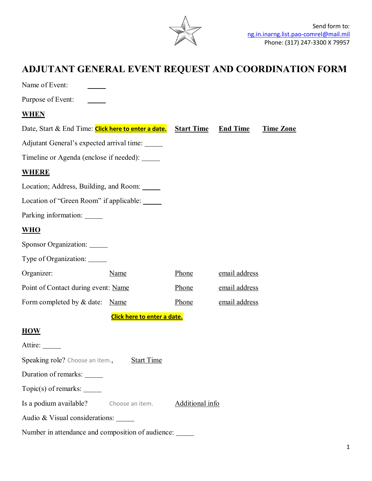

## **ADJUTANT GENERAL EVENT REQUEST AND COORDINATION FORM**

| Name of Event:                                       |      |                   |                 |                  |
|------------------------------------------------------|------|-------------------|-----------------|------------------|
| Purpose of Event:                                    |      |                   |                 |                  |
| <u>WHEN</u>                                          |      |                   |                 |                  |
| Date, Start & End Time: Click here to enter a date.  |      | <b>Start Time</b> | <b>End Time</b> | <b>Time Zone</b> |
| Adjutant General's expected arrival time:            |      |                   |                 |                  |
| Timeline or Agenda (enclose if needed): _____        |      |                   |                 |                  |
| <b>WHERE</b>                                         |      |                   |                 |                  |
| Location; Address, Building, and Room: _____         |      |                   |                 |                  |
| Location of "Green Room" if applicable:              |      |                   |                 |                  |
| Parking information: ______                          |      |                   |                 |                  |
| <u>WHO</u>                                           |      |                   |                 |                  |
| Sponsor Organization: ______                         |      |                   |                 |                  |
| Type of Organization: ______                         |      |                   |                 |                  |
| Organizer:                                           | Name | Phone             | email address   |                  |
| Point of Contact during event: Name                  |      | Phone             | email address   |                  |
| Form completed by & date:                            | Name | Phone             | email address   |                  |
| Click here to enter a date.                          |      |                   |                 |                  |
| <b>HOW</b>                                           |      |                   |                 |                  |
| Attire:                                              |      |                   |                 |                  |
| Speaking role? Choose an item.,<br><b>Start Time</b> |      |                   |                 |                  |
| Duration of remarks: ______                          |      |                   |                 |                  |
| $Topic(s)$ of remarks: $\_\_$                        |      |                   |                 |                  |
| Is a podium available? Choose an item.               |      | Additional info   |                 |                  |
| Audio & Visual considerations: _____                 |      |                   |                 |                  |
| Number in attendance and composition of audience:    |      |                   |                 |                  |